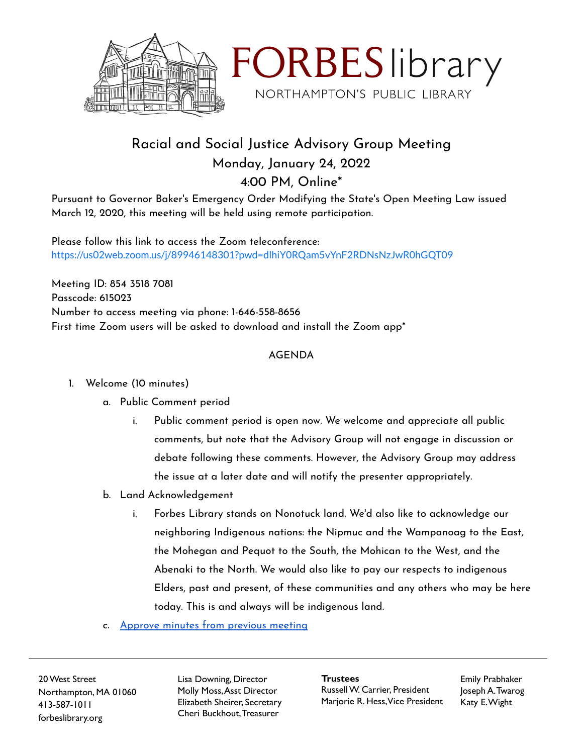



## Racial and Social Justice Advisory Group Meeting Monday, January 24, 2022 4:00 PM, Online\*

Pursuant to Governor Baker's Emergency Order Modifying the State's Open Meeting Law issued March 12, 2020, this meeting will be held using remote participation.

Please follow this link to access the Zoom teleconference: <https://us02web.zoom.us/j/89946148301?pwd=dlhiY0RQam5vYnF2RDNsNzJwR0hGQT09>

Meeting ID: 854 3518 7081 Passcode: 615023 Number to access meeting via phone: 1-646-558-8656 First time Zoom users will be asked to download and install the Zoom app\*

## AGENDA

- 1. Welcome (10 minutes)
	- a. Public Comment period
		- i. Public comment period is open now. We welcome and appreciate all public comments, but note that the Advisory Group will not engage in discussion or debate following these comments. However, the Advisory Group may address the issue at a later date and will notify the presenter appropriately.
	- b. Land Acknowledgement
		- i. Forbes Library stands on Nonotuck land. We'd also like to acknowledge our neighboring Indigenous nations: the Nipmuc and the Wampanoag to the East, the Mohegan and Pequot to the South, the Mohican to the West, and the Abenaki to the North. We would also like to pay our respects to indigenous Elders, past and present, of these communities and any others who may be here today. This is and always will be indigenous land.
	- c. [Approve](https://docs.google.com/document/d/1wplmS1x8en7VNcj4Up8gbEI-bcbkpR5om_3oHiYFBoY/edit?usp=sharing) minutes from previous meeting

20West Street Northampton, MA 01060 413-587-1011 forbeslibrary.org

Lisa Downing, Director Molly Moss,Asst Director Elizabeth Sheirer, Secretary Cheri Buckhout,Treasurer

**Trustees** RussellW. Carrier, President Marjorie R. Hess,Vice President Emily Prabhaker Joseph A.Twarog Katy E.Wight